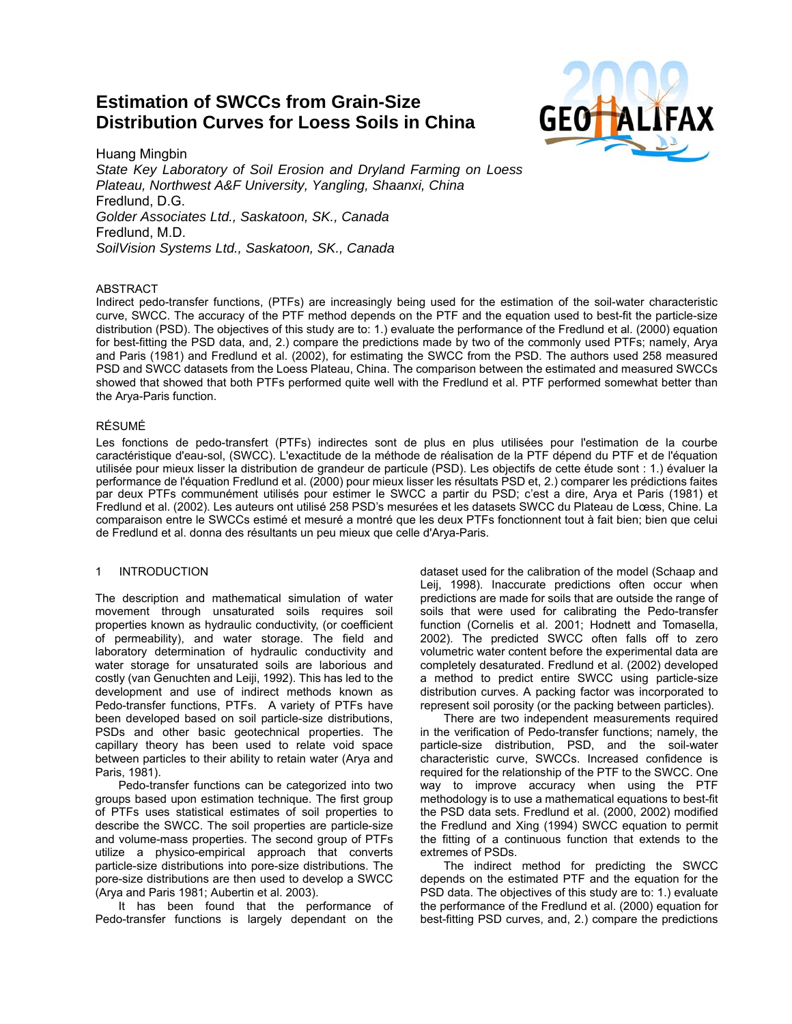# **Estimation of SWCCs from Grain-Size Distribution Curves for Loess Soils in China**



Huang Mingbin *State Key Laboratory of Soil Erosion and Dryland Farming on Loess Plateau, Northwest A&F University, Yangling, Shaanxi, China*  Fredlund, D.G. *Golder Associates Ltd., Saskatoon, SK., Canada*  Fredlund, M.D. *SoilVision Systems Ltd., Saskatoon, SK., Canada*

# ABSTRACT

Indirect pedo-transfer functions, (PTFs) are increasingly being used for the estimation of the soil-water characteristic curve, SWCC. The accuracy of the PTF method depends on the PTF and the equation used to best-fit the particle-size distribution (PSD). The objectives of this study are to: 1.) evaluate the performance of the Fredlund et al. (2000) equation for best-fitting the PSD data, and, 2.) compare the predictions made by two of the commonly used PTFs; namely, Arya and Paris (1981) and Fredlund et al. (2002), for estimating the SWCC from the PSD. The authors used 258 measured PSD and SWCC datasets from the Loess Plateau, China. The comparison between the estimated and measured SWCCs showed that showed that both PTFs performed quite well with the Fredlund et al. PTF performed somewhat better than the Arya-Paris function.

# RÉSUMÉ

Les fonctions de pedo-transfert (PTFs) indirectes sont de plus en plus utilisées pour l'estimation de la courbe caractéristique d'eau-sol, (SWCC). L'exactitude de la méthode de réalisation de la PTF dépend du PTF et de l'équation utilisée pour mieux lisser la distribution de grandeur de particule (PSD). Les objectifs de cette étude sont : 1.) évaluer la performance de l'équation Fredlund et al. (2000) pour mieux lisser les résultats PSD et, 2.) comparer les prédictions faites par deux PTFs communément utilisés pour estimer le SWCC a partir du PSD; c'est a dire, Arya et Paris (1981) et Fredlund et al. (2002). Les auteurs ont utilisé 258 PSD's mesurées et les datasets SWCC du Plateau de Lœss, Chine. La comparaison entre le SWCCs estimé et mesuré a montré que les deux PTFs fonctionnent tout à fait bien; bien que celui de Fredlund et al. donna des résultants un peu mieux que celle d'Arya-Paris.

# 1 INTRODUCTION

The description and mathematical simulation of water movement through unsaturated soils requires soil properties known as hydraulic conductivity, (or coefficient of permeability), and water storage. The field and laboratory determination of hydraulic conductivity and water storage for unsaturated soils are laborious and costly (van Genuchten and Leiji, 1992). This has led to the development and use of indirect methods known as Pedo-transfer functions, PTFs. A variety of PTFs have been developed based on soil particle-size distributions, PSDs and other basic geotechnical properties. The capillary theory has been used to relate void space between particles to their ability to retain water (Arya and Paris, 1981).

Pedo-transfer functions can be categorized into two groups based upon estimation technique. The first group of PTFs uses statistical estimates of soil properties to describe the SWCC. The soil properties are particle-size and volume-mass properties. The second group of PTFs utilize a physico-empirical approach that converts particle-size distributions into pore-size distributions. The pore-size distributions are then used to develop a SWCC (Arya and Paris 1981; Aubertin et al. 2003).

It has been found that the performance of Pedo-transfer functions is largely dependant on the

dataset used for the calibration of the model (Schaap and Leij, 1998). Inaccurate predictions often occur when predictions are made for soils that are outside the range of soils that were used for calibrating the Pedo-transfer function (Cornelis et al. 2001; Hodnett and Tomasella, 2002). The predicted SWCC often falls off to zero volumetric water content before the experimental data are completely desaturated. Fredlund et al. (2002) developed a method to predict entire SWCC using particle-size distribution curves. A packing factor was incorporated to represent soil porosity (or the packing between particles).

 There are two independent measurements required in the verification of Pedo-transfer functions; namely, the particle-size distribution, PSD, and the soil-water characteristic curve, SWCCs. Increased confidence is required for the relationship of the PTF to the SWCC. One way to improve accuracy when using the PTF methodology is to use a mathematical equations to best-fit the PSD data sets. Fredlund et al. (2000, 2002) modified the Fredlund and Xing (1994) SWCC equation to permit the fitting of a continuous function that extends to the extremes of PSDs.

The indirect method for predicting the SWCC depends on the estimated PTF and the equation for the PSD data. The objectives of this study are to: 1.) evaluate the performance of the Fredlund et al. (2000) equation for best-fitting PSD curves, and, 2.) compare the predictions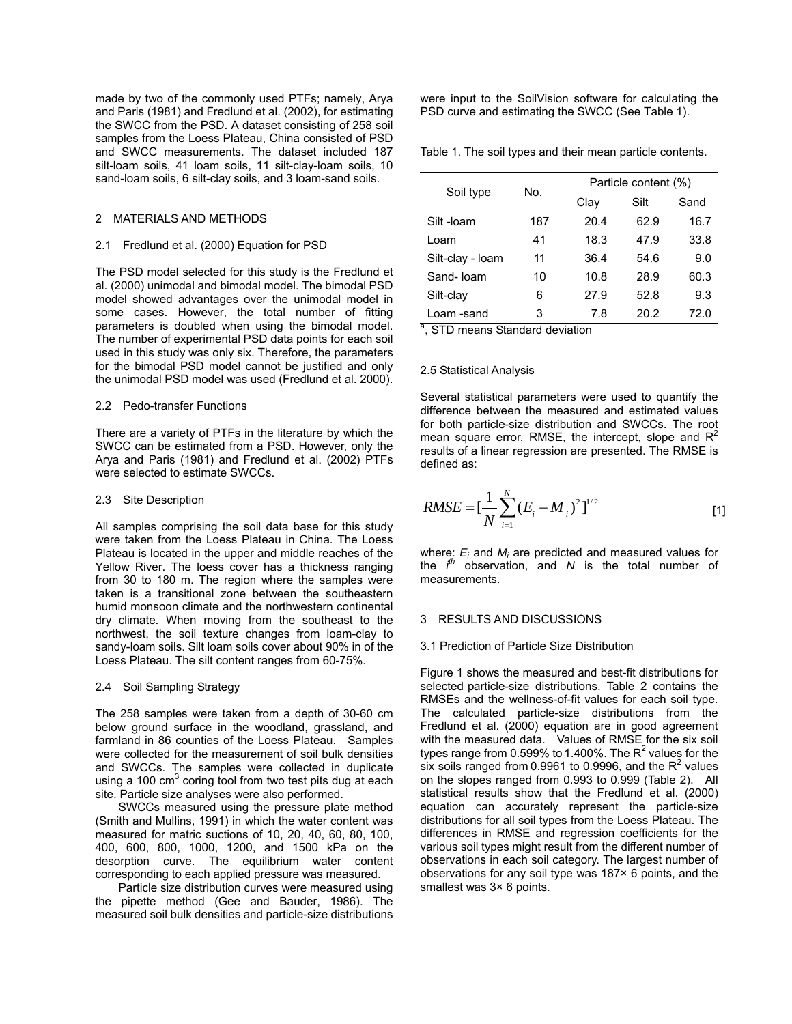made by two of the commonly used PTFs; namely, Arya and Paris (1981) and Fredlund et al. (2002), for estimating the SWCC from the PSD. A dataset consisting of 258 soil samples from the Loess Plateau, China consisted of PSD and SWCC measurements. The dataset included 187 silt-loam soils, 41 loam soils, 11 silt-clay-loam soils, 10 sand-loam soils, 6 silt-clay soils, and 3 loam-sand soils.

## 2 MATERIALS AND METHODS

#### 2.1 Fredlund et al. (2000) Equation for PSD

The PSD model selected for this study is the Fredlund et al. (2000) unimodal and bimodal model. The bimodal PSD model showed advantages over the unimodal model in some cases. However, the total number of fitting parameters is doubled when using the bimodal model. The number of experimental PSD data points for each soil used in this study was only six. Therefore, the parameters for the bimodal PSD model cannot be justified and only the unimodal PSD model was used (Fredlund et al. 2000).

## 2.2 Pedo-transfer Functions

There are a variety of PTFs in the literature by which the SWCC can be estimated from a PSD. However, only the Arya and Paris (1981) and Fredlund et al. (2002) PTFs were selected to estimate SWCCs.

#### 2.3 Site Description

All samples comprising the soil data base for this study were taken from the Loess Plateau in China. The Loess Plateau is located in the upper and middle reaches of the Yellow River. The loess cover has a thickness ranging from 30 to 180 m. The region where the samples were taken is a transitional zone between the southeastern humid monsoon climate and the northwestern continental dry climate. When moving from the southeast to the northwest, the soil texture changes from loam-clay to sandy-loam soils. Silt loam soils cover about 90% in of the Loess Plateau. The silt content ranges from 60-75%.

#### 2.4 Soil Sampling Strategy

The 258 samples were taken from a depth of 30-60 cm below ground surface in the woodland, grassland, and farmland in 86 counties of the Loess Plateau. Samples were collected for the measurement of soil bulk densities and SWCCs. The samples were collected in duplicate using a 100  $\text{cm}^3$  coring tool from two test pits dug at each site. Particle size analyses were also performed.

SWCCs measured using the pressure plate method (Smith and Mullins, 1991) in which the water content was measured for matric suctions of 10, 20, 40, 60, 80, 100, 400, 600, 800, 1000, 1200, and 1500 kPa on the desorption curve. The equilibrium water content corresponding to each applied pressure was measured.

Particle size distribution curves were measured using the pipette method (Gee and Bauder, 1986). The measured soil bulk densities and particle-size distributions were input to the SoilVision software for calculating the PSD curve and estimating the SWCC (See Table 1).

Table 1. The soil types and their mean particle contents.

| Soil type        | No. | Particle content (%) |      |      |  |
|------------------|-----|----------------------|------|------|--|
|                  |     | Clav                 | Silt | Sand |  |
| Silt-loam        | 187 | 20.4                 | 62.9 | 16.7 |  |
| Loam             | 41  | 18.3                 | 47.9 | 33.8 |  |
| Silt-clay - Ioam | 11  | 36.4                 | 54.6 | 9.0  |  |
| Sand-Ioam        | 10  | 10.8                 | 28.9 | 60.3 |  |
| Silt-clay        | 6   | 27.9                 | 52.8 | 9.3  |  |
| Loam -sand       | 3   | 7.8                  | 20.2 | 72.0 |  |

<sup>a</sup>, STD means Standard deviation

## 2.5 Statistical Analysis

Several statistical parameters were used to quantify the difference between the measured and estimated values for both particle-size distribution and SWCCs. The root mean square error, RMSE, the intercept, slope and  $R^2$ results of a linear regression are presented. The RMSE is defined as:

$$
RMSE = \left[\frac{1}{N} \sum_{i=1}^{N} (E_i - M_i)^2\right]^{1/2}
$$
 [1]

where: *Ei* and *Mi* are predicted and measured values for the *i th* observation, and *N* is the total number of measurements.

# 3 RESULTS AND DISCUSSIONS

#### 3.1 Prediction of Particle Size Distribution

Figure 1 shows the measured and best-fit distributions for selected particle-size distributions. Table 2 contains the RMSEs and the wellness-of-fit values for each soil type. The calculated particle-size distributions from the Fredlund et al. (2000) equation are in good agreement with the measured data. Values of RMSE for the six soil types range from 0.599% to 1.400%. The  $R^2$  values for the six soils ranged from 0.9961 to 0.9996, and the  $R^2$  values on the slopes ranged from 0.993 to 0.999 (Table 2). All statistical results show that the Fredlund et al. (2000) equation can accurately represent the particle-size distributions for all soil types from the Loess Plateau. The differences in RMSE and regression coefficients for the various soil types might result from the different number of observations in each soil category. The largest number of observations for any soil type was 187× 6 points, and the smallest was  $3 \times 6$  points.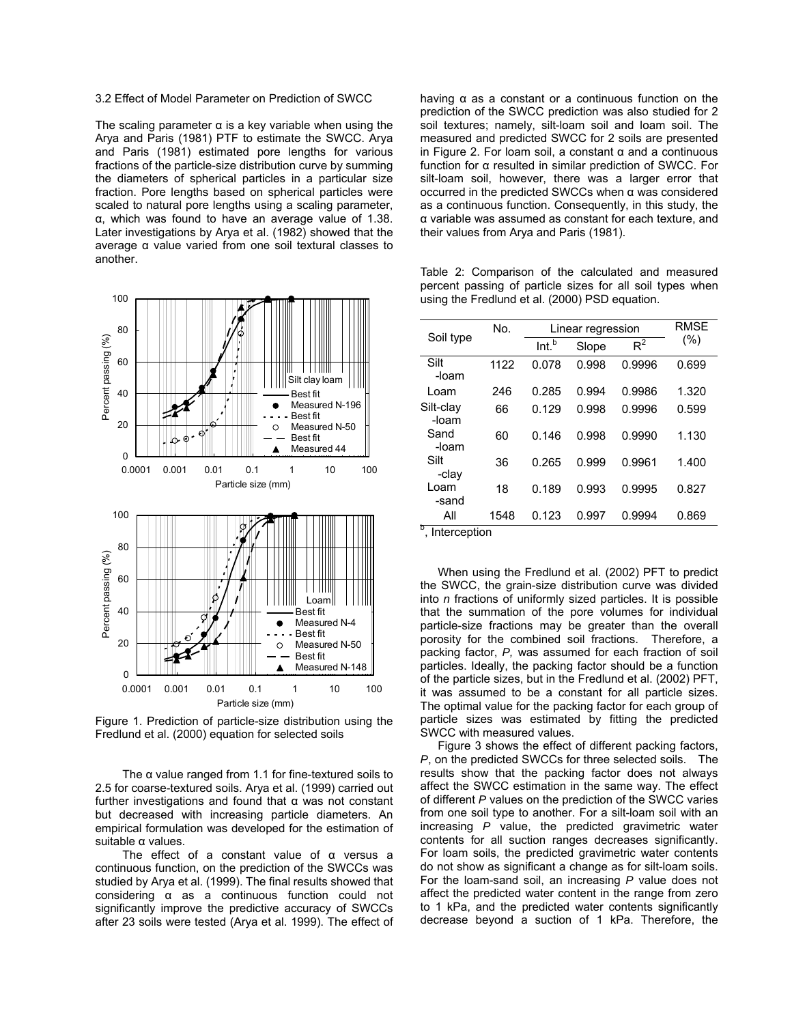### 3.2 Effect of Model Parameter on Prediction of SWCC

The scaling parameter  $\alpha$  is a key variable when using the Arya and Paris (1981) PTF to estimate the SWCC. Arya and Paris (1981) estimated pore lengths for various fractions of the particle-size distribution curve by summing the diameters of spherical particles in a particular size fraction. Pore lengths based on spherical particles were scaled to natural pore lengths using a scaling parameter, α, which was found to have an average value of 1.38. Later investigations by Arya et al. (1982) showed that the average α value varied from one soil textural classes to another.



Figure 1. Prediction of particle-size distribution using the Fredlund et al. (2000) equation for selected soils

The  $\alpha$  value ranged from 1.1 for fine-textured soils to 2.5 for coarse-textured soils. Arya et al. (1999) carried out further investigations and found that α was not constant but decreased with increasing particle diameters. An empirical formulation was developed for the estimation of suitable α values.

The effect of a constant value of α versus a continuous function, on the prediction of the SWCCs was studied by Arya et al. (1999). The final results showed that considering α as a continuous function could not significantly improve the predictive accuracy of SWCCs after 23 soils were tested (Arya et al. 1999). The effect of having α as a constant or a continuous function on the prediction of the SWCC prediction was also studied for 2 soil textures; namely, silt-loam soil and loam soil. The measured and predicted SWCC for 2 soils are presented in Figure 2. For loam soil, a constant α and a continuous function for α resulted in similar prediction of SWCC. For silt-loam soil, however, there was a larger error that occurred in the predicted SWCCs when α was considered as a continuous function. Consequently, in this study, the α variable was assumed as constant for each texture, and their values from Arya and Paris (1981).

Table 2: Comparison of the calculated and measured percent passing of particle sizes for all soil types when using the Fredlund et al. (2000) PSD equation.

|                    | No.  | Linear regression | <b>RMSE</b> |        |       |  |
|--------------------|------|-------------------|-------------|--------|-------|--|
| Soil type          |      | Int. <sup>b</sup> | Slope       | $R^2$  | (%)   |  |
| Silt<br>-loam      | 1122 | 0.078             | 0.998       | 0.9996 | 0.699 |  |
| Loam               | 246  | 0.285             | 0.994       | 0.9986 | 1.320 |  |
| Silt-clay<br>-loam | 66   | 0.129             | 0.998       | 0.9996 | 0.599 |  |
| Sand<br>-loam      | 60   | 0.146             | 0.998       | 0.9990 | 1.130 |  |
| Silt<br>-clav      | 36   | 0.265             | 0.999       | 0.9961 | 1.400 |  |
| Loam<br>-sand      | 18   | 0.189             | 0.993       | 0.9995 | 0.827 |  |
| All                | 1548 | 0.123             | 0.997       | 0.9994 | 0.869 |  |
| b<br>Interepretien |      |                   |             |        |       |  |

, Interception

When using the Fredlund et al. (2002) PFT to predict the SWCC, the grain-size distribution curve was divided into *n* fractions of uniformly sized particles. It is possible that the summation of the pore volumes for individual particle-size fractions may be greater than the overall porosity for the combined soil fractions. Therefore, a packing factor, *P,* was assumed for each fraction of soil particles. Ideally, the packing factor should be a function of the particle sizes, but in the Fredlund et al. (2002) PFT, it was assumed to be a constant for all particle sizes. The optimal value for the packing factor for each group of particle sizes was estimated by fitting the predicted SWCC with measured values.

Figure 3 shows the effect of different packing factors, *P*, on the predicted SWCCs for three selected soils. The results show that the packing factor does not always affect the SWCC estimation in the same way. The effect of different *P* values on the prediction of the SWCC varies from one soil type to another. For a silt-loam soil with an increasing *P* value, the predicted gravimetric water contents for all suction ranges decreases significantly. For loam soils, the predicted gravimetric water contents do not show as significant a change as for silt-loam soils. For the loam-sand soil, an increasing *P* value does not affect the predicted water content in the range from zero to 1 kPa, and the predicted water contents significantly decrease beyond a suction of 1 kPa. Therefore, the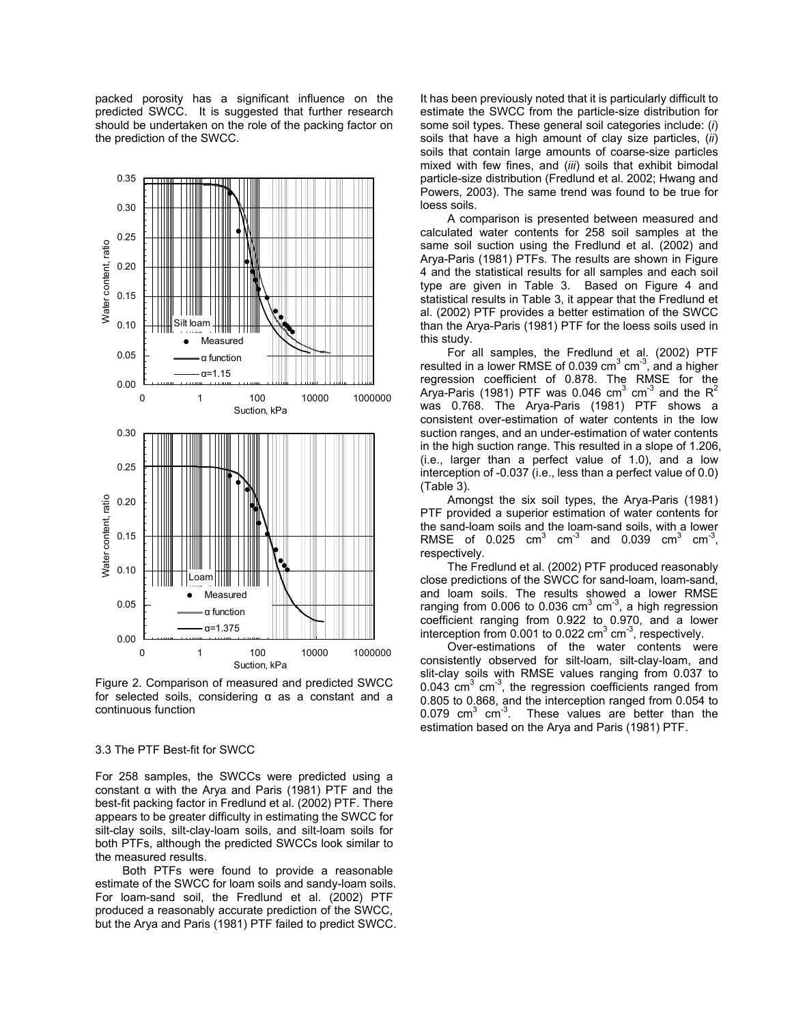packed porosity has a significant influence on the predicted SWCC. It is suggested that further research should be undertaken on the role of the packing factor on the prediction of the SWCC.



Figure 2. Comparison of measured and predicted SWCC for selected soils, considering α as a constant and a continuous function

# 3.3 The PTF Best-fit for SWCC

For 258 samples, the SWCCs were predicted using a constant α with the Arya and Paris (1981) PTF and the best-fit packing factor in Fredlund et al. (2002) PTF. There appears to be greater difficulty in estimating the SWCC for silt-clay soils, silt-clay-loam soils, and silt-loam soils for both PTFs, although the predicted SWCCs look similar to the measured results.

Both PTFs were found to provide a reasonable estimate of the SWCC for loam soils and sandy-loam soils. For loam-sand soil, the Fredlund et al. (2002) PTF produced a reasonably accurate prediction of the SWCC, but the Arya and Paris (1981) PTF failed to predict SWCC. It has been previously noted that it is particularly difficult to estimate the SWCC from the particle-size distribution for some soil types. These general soil categories include: (*i*) soils that have a high amount of clay size particles, (*ii*) soils that contain large amounts of coarse-size particles mixed with few fines, and (*iii*) soils that exhibit bimodal particle-size distribution (Fredlund et al. 2002; Hwang and Powers, 2003). The same trend was found to be true for loess soils.

A comparison is presented between measured and calculated water contents for 258 soil samples at the same soil suction using the Fredlund et al. (2002) and Arya-Paris (1981) PTFs. The results are shown in Figure 4 and the statistical results for all samples and each soil type are given in Table 3. Based on Figure 4 and statistical results in Table 3, it appear that the Fredlund et al. (2002) PTF provides a better estimation of the SWCC than the Arya-Paris (1981) PTF for the loess soils used in this study.

For all samples, the Fredlund et al. (2002) PTF resulted in a lower RMSE of 0.039  $\text{cm}^3$   $\text{cm}^3$ , and a higher regression coefficient of 0.878. The RMSE for the Arya-Paris (1981) PTF was 0.046 cm<sup>3</sup> cm<sup>-3</sup> and the R<sup>2</sup> was 0.768. The Arya-Paris (1981) PTF shows a consistent over-estimation of water contents in the low suction ranges, and an under-estimation of water contents in the high suction range. This resulted in a slope of 1.206, (i.e., larger than a perfect value of 1.0), and a low interception of -0.037 (i.e., less than a perfect value of 0.0) (Table 3).

Amongst the six soil types, the Arya-Paris (1981) PTF provided a superior estimation of water contents for the sand-loam soils and the loam-sand soils, with a lower RMSE of 0.025  $\text{cm}^3$   $\text{cm}^3$  and 0.039  $\text{cm}^3$   $\text{cm}^3$ , respectively.

The Fredlund et al. (2002) PTF produced reasonably close predictions of the SWCC for sand-loam, loam-sand, and loam soils. The results showed a lower RMSE ranging from 0.006 to 0.036 cm<sup>3</sup> cm<sup>-3</sup>, a high regression coefficient ranging from 0.922 to 0.970, and a lower interception from  $0.001$  to 0.022 cm<sup>3</sup> cm<sup>-3</sup>, respectively.

Over-estimations of the water contents were consistently observed for silt-loam, silt-clay-loam, and slit-clay soils with RMSE values ranging from 0.037 to  $0.043$  cm<sup>3</sup> cm<sup>3</sup>, the regression coefficients ranged from 0.805 to 0.868, and the interception ranged from 0.054 to 0.079  $\text{cm}^3$   $\text{cm}^3$ . These values are better than the estimation based on the Arya and Paris (1981) PTF.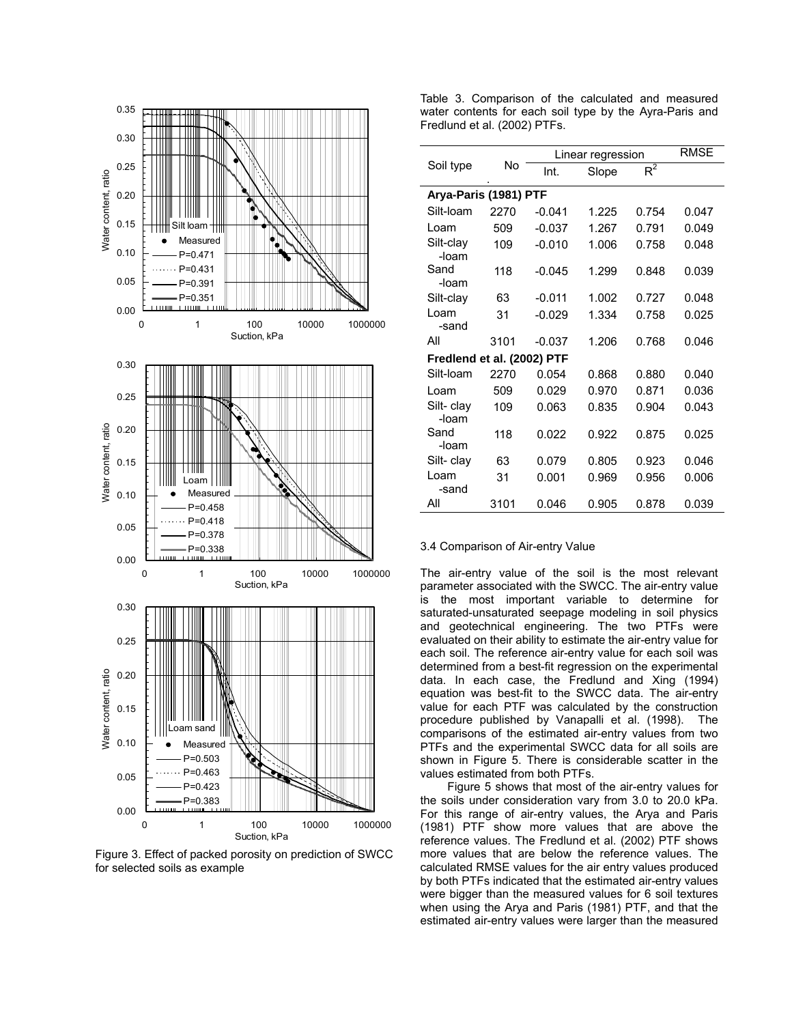

Figure 3. Effect of packed porosity on prediction of SWCC for selected soils as example

Table 3. Comparison of the calculated and measured water contents for each soil type by the Ayra-Paris and Fredlund et al. (2002) PTFs.

|                            | No   | Linear regression |       |       | <b>RMSE</b> |  |  |  |
|----------------------------|------|-------------------|-------|-------|-------------|--|--|--|
| Soil type                  |      | Int.              | Slope | $R^2$ |             |  |  |  |
| Arya-Paris (1981) PTF      |      |                   |       |       |             |  |  |  |
| Silt-loam                  | 2270 | $-0.041$          | 1.225 | 0.754 | 0.047       |  |  |  |
| Loam                       | 509  | $-0.037$          | 1.267 | 0.791 | 0.049       |  |  |  |
| Silt-clay<br>-loam         | 109  | $-0.010$          | 1.006 | 0.758 | 0.048       |  |  |  |
| Sand<br>-loam              | 118  | $-0.045$          | 1.299 | 0.848 | 0.039       |  |  |  |
| Silt-clay                  | 63   | $-0.011$          | 1.002 | 0.727 | 0.048       |  |  |  |
| Loam<br>-sand              | 31   | $-0.029$          | 1.334 | 0.758 | 0.025       |  |  |  |
| All                        | 3101 | $-0.037$          | 1.206 | 0.768 | 0.046       |  |  |  |
| Fredlend et al. (2002) PTF |      |                   |       |       |             |  |  |  |
| Silt-loam                  | 2270 | 0.054             | 0.868 | 0.880 | 0.040       |  |  |  |
| Loam                       | 509  | 0.029             | 0.970 | 0.871 | 0.036       |  |  |  |
| Silt- clay<br>-loam        | 109  | 0.063             | 0.835 | 0.904 | 0.043       |  |  |  |
| Sand<br>-loam              | 118  | 0.022             | 0.922 | 0.875 | 0.025       |  |  |  |
| Silt- clay                 | 63   | 0.079             | 0.805 | 0.923 | 0.046       |  |  |  |
| Loam<br>-sand              | 31   | 0.001             | 0.969 | 0.956 | 0.006       |  |  |  |
| All                        | 3101 | 0.046             | 0.905 | 0.878 | 0.039       |  |  |  |

## 3.4 Comparison of Air-entry Value

The air-entry value of the soil is the most relevant parameter associated with the SWCC. The air-entry value is the most important variable to determine for saturated-unsaturated seepage modeling in soil physics and geotechnical engineering. The two PTFs were evaluated on their ability to estimate the air-entry value for each soil. The reference air-entry value for each soil was determined from a best-fit regression on the experimental data. In each case, the Fredlund and Xing (1994) equation was best-fit to the SWCC data. The air-entry value for each PTF was calculated by the construction procedure published by Vanapalli et al. (1998). The comparisons of the estimated air-entry values from two PTFs and the experimental SWCC data for all soils are shown in Figure 5. There is considerable scatter in the values estimated from both PTFs.

Figure 5 shows that most of the air-entry values for the soils under consideration vary from 3.0 to 20.0 kPa. For this range of air-entry values, the Arya and Paris (1981) PTF show more values that are above the reference values. The Fredlund et al. (2002) PTF shows more values that are below the reference values. The calculated RMSE values for the air entry values produced by both PTFs indicated that the estimated air-entry values were bigger than the measured values for 6 soil textures when using the Arya and Paris (1981) PTF, and that the estimated air-entry values were larger than the measured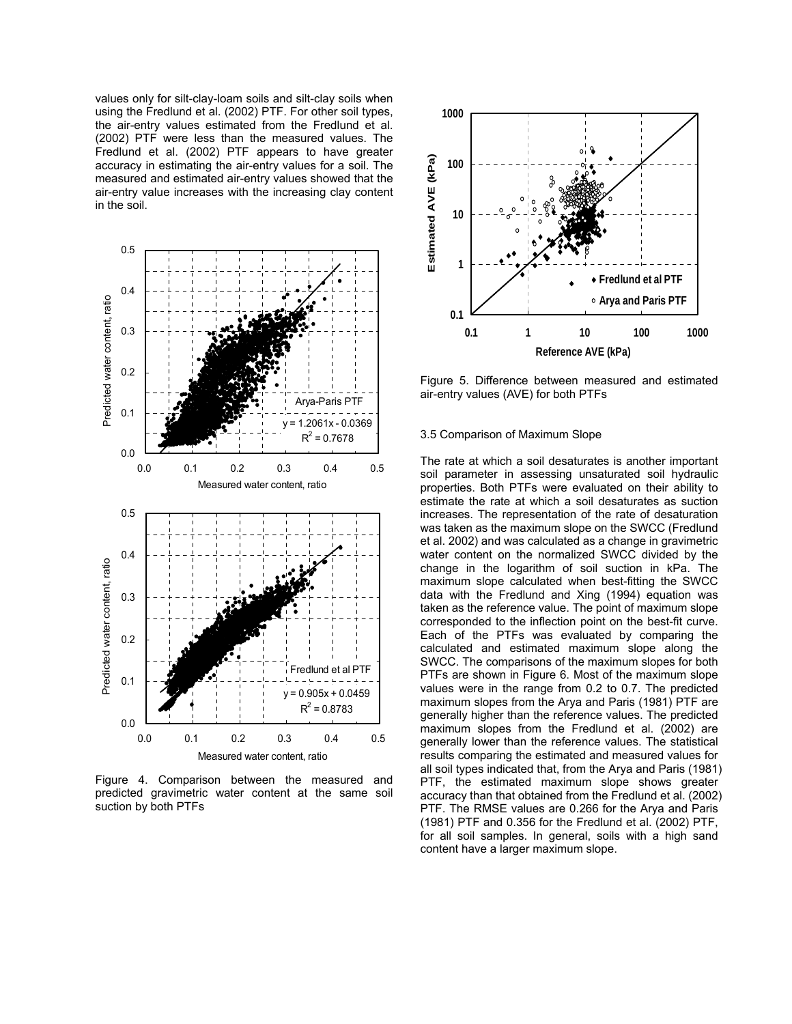values only for silt-clay-loam soils and silt-clay soils when using the Fredlund et al. (2002) PTF. For other soil types, the air-entry values estimated from the Fredlund et al. (2002) PTF were less than the measured values. The Fredlund et al. (2002) PTF appears to have greater accuracy in estimating the air-entry values for a soil. The measured and estimated air-entry values showed that the air-entry value increases with the increasing clay content in the soil.



Figure 4. Comparison between the measured and predicted gravimetric water content at the same soil suction by both PTFs



Figure 5. Difference between measured and estimated air-entry values (AVE) for both PTFs

## 3.5 Comparison of Maximum Slope

The rate at which a soil desaturates is another important soil parameter in assessing unsaturated soil hydraulic properties. Both PTFs were evaluated on their ability to estimate the rate at which a soil desaturates as suction increases. The representation of the rate of desaturation was taken as the maximum slope on the SWCC (Fredlund et al. 2002) and was calculated as a change in gravimetric water content on the normalized SWCC divided by the change in the logarithm of soil suction in kPa. The maximum slope calculated when best-fitting the SWCC data with the Fredlund and Xing (1994) equation was taken as the reference value. The point of maximum slope corresponded to the inflection point on the best-fit curve. Each of the PTFs was evaluated by comparing the calculated and estimated maximum slope along the SWCC. The comparisons of the maximum slopes for both PTFs are shown in Figure 6. Most of the maximum slope values were in the range from 0.2 to 0.7. The predicted maximum slopes from the Arya and Paris (1981) PTF are generally higher than the reference values. The predicted maximum slopes from the Fredlund et al. (2002) are generally lower than the reference values. The statistical results comparing the estimated and measured values for all soil types indicated that, from the Arya and Paris (1981) PTF, the estimated maximum slope shows greater accuracy than that obtained from the Fredlund et al. (2002) PTF. The RMSE values are 0.266 for the Arya and Paris (1981) PTF and 0.356 for the Fredlund et al. (2002) PTF, for all soil samples. In general, soils with a high sand content have a larger maximum slope.